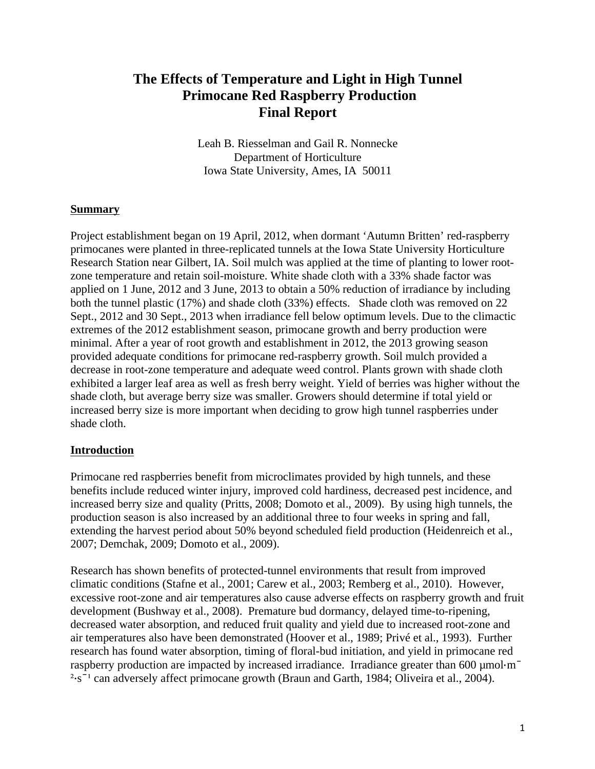# **The Effects of Temperature and Light in High Tunnel Primocane Red Raspberry Production Final Report**

Leah B. Riesselman and Gail R. Nonnecke Department of Horticulture Iowa State University, Ames, IA 50011

### **Summary**

Project establishment began on 19 April, 2012, when dormant 'Autumn Britten' red-raspberry primocanes were planted in three-replicated tunnels at the Iowa State University Horticulture Research Station near Gilbert, IA. Soil mulch was applied at the time of planting to lower rootzone temperature and retain soil-moisture. White shade cloth with a 33% shade factor was applied on 1 June, 2012 and 3 June, 2013 to obtain a 50% reduction of irradiance by including both the tunnel plastic (17%) and shade cloth (33%) effects. Shade cloth was removed on 22 Sept., 2012 and 30 Sept., 2013 when irradiance fell below optimum levels. Due to the climactic extremes of the 2012 establishment season, primocane growth and berry production were minimal. After a year of root growth and establishment in 2012, the 2013 growing season provided adequate conditions for primocane red-raspberry growth. Soil mulch provided a decrease in root-zone temperature and adequate weed control. Plants grown with shade cloth exhibited a larger leaf area as well as fresh berry weight. Yield of berries was higher without the shade cloth, but average berry size was smaller. Growers should determine if total yield or increased berry size is more important when deciding to grow high tunnel raspberries under shade cloth.

#### **Introduction**

Primocane red raspberries benefit from microclimates provided by high tunnels, and these benefits include reduced winter injury, improved cold hardiness, decreased pest incidence, and increased berry size and quality (Pritts, 2008; Domoto et al., 2009). By using high tunnels, the production season is also increased by an additional three to four weeks in spring and fall, extending the harvest period about 50% beyond scheduled field production (Heidenreich et al., 2007; Demchak, 2009; Domoto et al., 2009).

Research has shown benefits of protected-tunnel environments that result from improved climatic conditions (Stafne et al., 2001; Carew et al., 2003; Remberg et al., 2010). However, excessive root-zone and air temperatures also cause adverse effects on raspberry growth and fruit development (Bushway et al., 2008). Premature bud dormancy, delayed time-to-ripening, decreased water absorption, and reduced fruit quality and yield due to increased root-zone and air temperatures also have been demonstrated (Hoover et al., 1989; Privé et al., 1993). Further research has found water absorption, timing of floral-bud initiation, and yield in primocane red raspberry production are impacted by increased irradiance. Irradiance greater than  $600 \mu mol·m<sup>-</sup>$  $3.5$ <sup>-1</sup> can adversely affect primocane growth (Braun and Garth, 1984; Oliveira et al., 2004).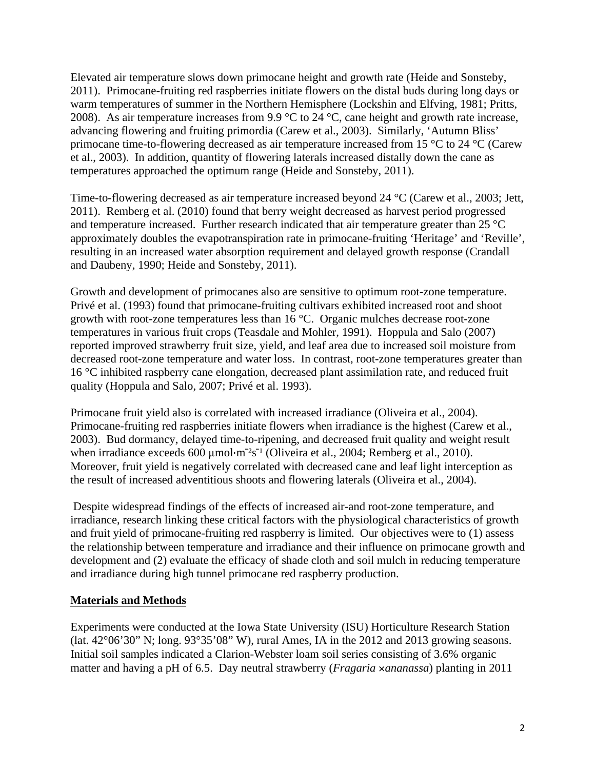Elevated air temperature slows down primocane height and growth rate (Heide and Sonsteby, 2011). Primocane-fruiting red raspberries initiate flowers on the distal buds during long days or warm temperatures of summer in the Northern Hemisphere (Lockshin and Elfving, 1981; Pritts, 2008). As air temperature increases from 9.9  $\degree$ C to 24  $\degree$ C, cane height and growth rate increase, advancing flowering and fruiting primordia (Carew et al., 2003). Similarly, 'Autumn Bliss' primocane time-to-flowering decreased as air temperature increased from 15 °C to 24 °C (Carew et al., 2003). In addition, quantity of flowering laterals increased distally down the cane as temperatures approached the optimum range (Heide and Sonsteby, 2011).

Time-to-flowering decreased as air temperature increased beyond 24 °C (Carew et al., 2003; Jett, 2011). Remberg et al. (2010) found that berry weight decreased as harvest period progressed and temperature increased. Further research indicated that air temperature greater than 25 °C approximately doubles the evapotranspiration rate in primocane-fruiting 'Heritage' and 'Reville', resulting in an increased water absorption requirement and delayed growth response (Crandall and Daubeny, 1990; Heide and Sonsteby, 2011).

Growth and development of primocanes also are sensitive to optimum root-zone temperature. Privé et al. (1993) found that primocane-fruiting cultivars exhibited increased root and shoot growth with root-zone temperatures less than 16 °C. Organic mulches decrease root-zone temperatures in various fruit crops (Teasdale and Mohler, 1991). Hoppula and Salo (2007) reported improved strawberry fruit size, yield, and leaf area due to increased soil moisture from decreased root-zone temperature and water loss. In contrast, root-zone temperatures greater than 16 °C inhibited raspberry cane elongation, decreased plant assimilation rate, and reduced fruit quality (Hoppula and Salo, 2007; Privé et al. 1993).

Primocane fruit yield also is correlated with increased irradiance (Oliveira et al., 2004). Primocane-fruiting red raspberries initiate flowers when irradiance is the highest (Carew et al., 2003). Bud dormancy, delayed time-to-ripening, and decreased fruit quality and weight result when irradiance exceeds 600  $\mu$ mol·m<sup>-2</sup>s<sup>-1</sup> (Oliveira et al., 2004; Remberg et al., 2010). Moreover, fruit yield is negatively correlated with decreased cane and leaf light interception as the result of increased adventitious shoots and flowering laterals (Oliveira et al., 2004).

Despite widespread findings of the effects of increased air-and root-zone temperature, and irradiance, research linking these critical factors with the physiological characteristics of growth and fruit yield of primocane-fruiting red raspberry is limited. Our objectives were to (1) assess the relationship between temperature and irradiance and their influence on primocane growth and development and (2) evaluate the efficacy of shade cloth and soil mulch in reducing temperature and irradiance during high tunnel primocane red raspberry production.

### **Materials and Methods**

Experiments were conducted at the Iowa State University (ISU) Horticulture Research Station (lat. 42°06'30" N; long. 93°35'08" W), rural Ames, IA in the 2012 and 2013 growing seasons. Initial soil samples indicated a Clarion-Webster loam soil series consisting of 3.6% organic matter and having a pH of 6.5. Day neutral strawberry (*Fragaria* ×*ananassa*) planting in 2011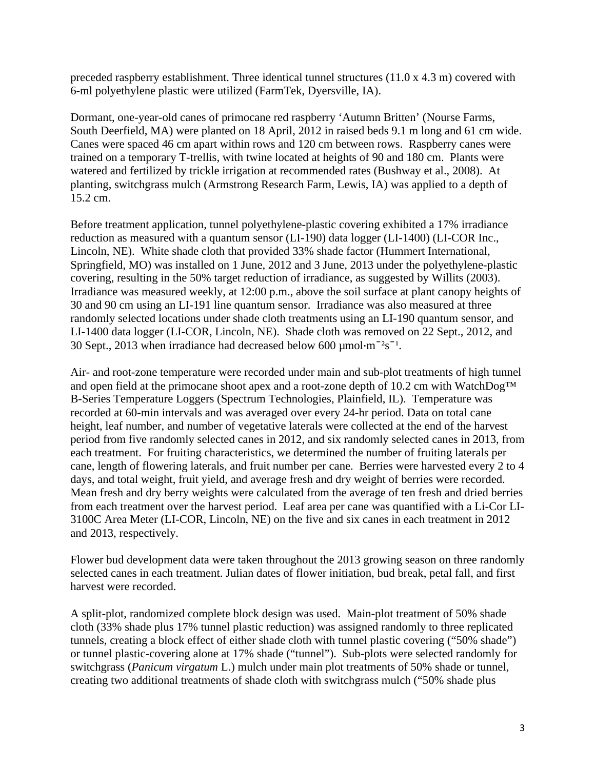preceded raspberry establishment. Three identical tunnel structures (11.0 x 4.3 m) covered with 6-ml polyethylene plastic were utilized (FarmTek, Dyersville, IA).

Dormant, one-year-old canes of primocane red raspberry 'Autumn Britten' (Nourse Farms, South Deerfield, MA) were planted on 18 April, 2012 in raised beds 9.1 m long and 61 cm wide. Canes were spaced 46 cm apart within rows and 120 cm between rows. Raspberry canes were trained on a temporary T-trellis, with twine located at heights of 90 and 180 cm. Plants were watered and fertilized by trickle irrigation at recommended rates (Bushway et al., 2008). At planting, switchgrass mulch (Armstrong Research Farm, Lewis, IA) was applied to a depth of 15.2 cm.

Before treatment application, tunnel polyethylene-plastic covering exhibited a 17% irradiance reduction as measured with a quantum sensor (LI-190) data logger (LI-1400) (LI-COR Inc., Lincoln, NE). White shade cloth that provided 33% shade factor (Hummert International, Springfield, MO) was installed on 1 June, 2012 and 3 June, 2013 under the polyethylene-plastic covering, resulting in the 50% target reduction of irradiance, as suggested by Willits (2003). Irradiance was measured weekly, at 12:00 p.m., above the soil surface at plant canopy heights of 30 and 90 cm using an LI-191 line quantum sensor. Irradiance was also measured at three randomly selected locations under shade cloth treatments using an LI-190 quantum sensor, and LI-1400 data logger (LI-COR, Lincoln, NE). Shade cloth was removed on 22 Sept., 2012, and 30 Sept., 2013 when irradiance had decreased below 600  $\mu$ mol·m<sup>-2</sup>s<sup>-1</sup>.

Air- and root-zone temperature were recorded under main and sub-plot treatments of high tunnel and open field at the primocane shoot apex and a root-zone depth of 10.2 cm with WatchDog<sup>™</sup> B-Series Temperature Loggers (Spectrum Technologies, Plainfield, IL). Temperature was recorded at 60-min intervals and was averaged over every 24-hr period. Data on total cane height, leaf number, and number of vegetative laterals were collected at the end of the harvest period from five randomly selected canes in 2012, and six randomly selected canes in 2013, from each treatment. For fruiting characteristics, we determined the number of fruiting laterals per cane, length of flowering laterals, and fruit number per cane. Berries were harvested every 2 to 4 days, and total weight, fruit yield, and average fresh and dry weight of berries were recorded. Mean fresh and dry berry weights were calculated from the average of ten fresh and dried berries from each treatment over the harvest period. Leaf area per cane was quantified with a Li-Cor LI-3100C Area Meter (LI-COR, Lincoln, NE) on the five and six canes in each treatment in 2012 and 2013, respectively.

Flower bud development data were taken throughout the 2013 growing season on three randomly selected canes in each treatment. Julian dates of flower initiation, bud break, petal fall, and first harvest were recorded.

A split-plot, randomized complete block design was used. Main-plot treatment of 50% shade cloth (33% shade plus 17% tunnel plastic reduction) was assigned randomly to three replicated tunnels, creating a block effect of either shade cloth with tunnel plastic covering ("50% shade") or tunnel plastic-covering alone at 17% shade ("tunnel"). Sub-plots were selected randomly for switchgrass (*Panicum virgatum* L.) mulch under main plot treatments of 50% shade or tunnel, creating two additional treatments of shade cloth with switchgrass mulch ("50% shade plus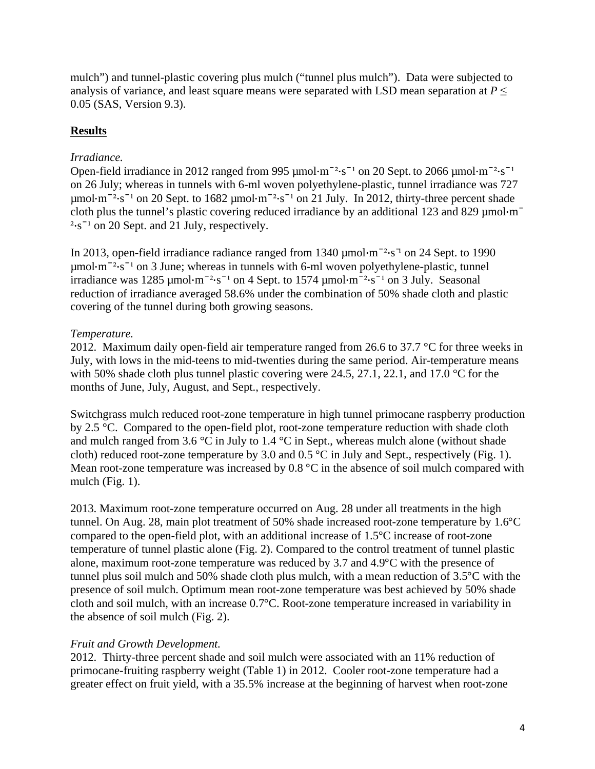mulch") and tunnel-plastic covering plus mulch ("tunnel plus mulch"). Data were subjected to analysis of variance, and least square means were separated with LSD mean separation at  $P \leq$ 0.05 (SAS, Version 9.3).

## **Results**

## *Irradiance.*

Open-field irradiance in 2012 ranged from 995  $\mu$ mol·m<sup>-2</sup>·s<sup>-1</sup> on 20 Sept. to 2066  $\mu$ mol·m<sup>-2</sup>·s<sup>-1</sup> on 26 July; whereas in tunnels with 6-ml woven polyethylene-plastic, tunnel irradiance was 727  $\mu$ mol·m<sup>-2</sup>·s<sup>-1</sup> on 20 Sept. to 1682  $\mu$ mol·m<sup>-2</sup>·s<sup>-1</sup> on 21 July. In 2012, thirty-three percent shade cloth plus the tunnel's plastic covering reduced irradiance by an additional 123 and 829  $\mu$ mol·m<sup>-</sup>  $2 \cdot s^{-1}$  on 20 Sept. and 21 July, respectively.

In 2013, open-field irradiance radiance ranged from 1340  $\mu$ mol·m<sup>-2</sup>·s<sup>-1</sup> on 24 Sept. to 1990  $\mu$ mol·m<sup>-2</sup>·s<sup>-1</sup> on 3 June; whereas in tunnels with 6-ml woven polyethylene-plastic, tunnel irradiance was  $1285 \mu$ mol·m<sup>-2</sup>·s<sup>-1</sup> on 4 Sept. to  $1574 \mu$ mol·m<sup>-2</sup>·s<sup>-1</sup> on 3 July. Seasonal reduction of irradiance averaged 58.6% under the combination of 50% shade cloth and plastic covering of the tunnel during both growing seasons.

# *Temperature.*

2012. Maximum daily open-field air temperature ranged from 26.6 to 37.7 °C for three weeks in July, with lows in the mid-teens to mid-twenties during the same period. Air-temperature means with 50% shade cloth plus tunnel plastic covering were 24.5, 27.1, 22.1, and 17.0 °C for the months of June, July, August, and Sept., respectively.

Switchgrass mulch reduced root-zone temperature in high tunnel primocane raspberry production by 2.5 °C. Compared to the open-field plot, root-zone temperature reduction with shade cloth and mulch ranged from 3.6 °C in July to 1.4 °C in Sept., whereas mulch alone (without shade cloth) reduced root-zone temperature by 3.0 and 0.5 °C in July and Sept., respectively (Fig. 1). Mean root-zone temperature was increased by 0.8 °C in the absence of soil mulch compared with mulch (Fig. 1).

2013. Maximum root-zone temperature occurred on Aug. 28 under all treatments in the high tunnel. On Aug. 28, main plot treatment of 50% shade increased root-zone temperature by 1.6°C compared to the open-field plot, with an additional increase of 1.5°C increase of root-zone temperature of tunnel plastic alone (Fig. 2). Compared to the control treatment of tunnel plastic alone, maximum root-zone temperature was reduced by 3.7 and 4.9°C with the presence of tunnel plus soil mulch and 50% shade cloth plus mulch, with a mean reduction of 3.5°C with the presence of soil mulch. Optimum mean root-zone temperature was best achieved by 50% shade cloth and soil mulch, with an increase 0.7°C. Root-zone temperature increased in variability in the absence of soil mulch (Fig. 2).

### *Fruit and Growth Development.*

2012. Thirty-three percent shade and soil mulch were associated with an 11% reduction of primocane-fruiting raspberry weight (Table 1) in 2012. Cooler root-zone temperature had a greater effect on fruit yield, with a 35.5% increase at the beginning of harvest when root-zone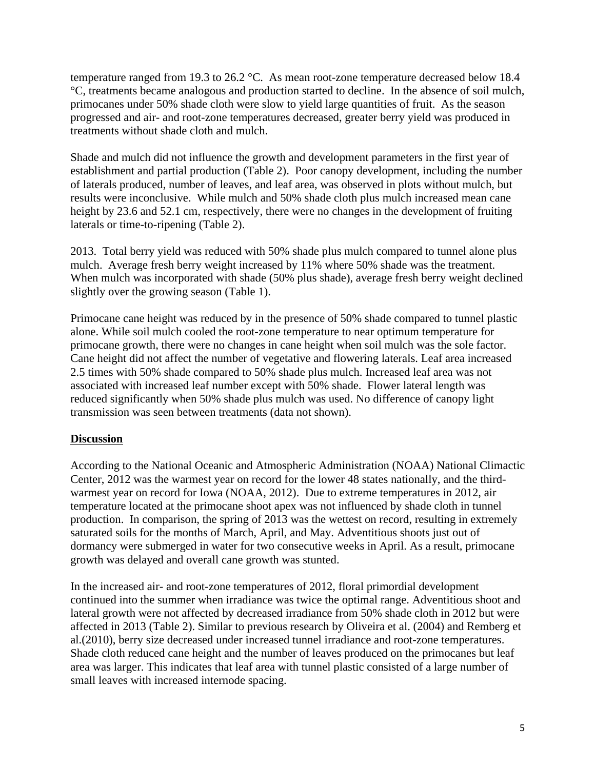temperature ranged from 19.3 to 26.2 °C. As mean root-zone temperature decreased below 18.4 °C, treatments became analogous and production started to decline. In the absence of soil mulch, primocanes under 50% shade cloth were slow to yield large quantities of fruit. As the season progressed and air- and root-zone temperatures decreased, greater berry yield was produced in treatments without shade cloth and mulch.

Shade and mulch did not influence the growth and development parameters in the first year of establishment and partial production (Table 2). Poor canopy development, including the number of laterals produced, number of leaves, and leaf area, was observed in plots without mulch, but results were inconclusive. While mulch and 50% shade cloth plus mulch increased mean cane height by 23.6 and 52.1 cm, respectively, there were no changes in the development of fruiting laterals or time-to-ripening (Table 2).

2013. Total berry yield was reduced with 50% shade plus mulch compared to tunnel alone plus mulch. Average fresh berry weight increased by 11% where 50% shade was the treatment. When mulch was incorporated with shade (50% plus shade), average fresh berry weight declined slightly over the growing season (Table 1).

Primocane cane height was reduced by in the presence of 50% shade compared to tunnel plastic alone. While soil mulch cooled the root-zone temperature to near optimum temperature for primocane growth, there were no changes in cane height when soil mulch was the sole factor. Cane height did not affect the number of vegetative and flowering laterals. Leaf area increased 2.5 times with 50% shade compared to 50% shade plus mulch. Increased leaf area was not associated with increased leaf number except with 50% shade. Flower lateral length was reduced significantly when 50% shade plus mulch was used. No difference of canopy light transmission was seen between treatments (data not shown).

### **Discussion**

According to the National Oceanic and Atmospheric Administration (NOAA) National Climactic Center, 2012 was the warmest year on record for the lower 48 states nationally, and the thirdwarmest year on record for Iowa (NOAA, 2012). Due to extreme temperatures in 2012, air temperature located at the primocane shoot apex was not influenced by shade cloth in tunnel production. In comparison, the spring of 2013 was the wettest on record, resulting in extremely saturated soils for the months of March, April, and May. Adventitious shoots just out of dormancy were submerged in water for two consecutive weeks in April. As a result, primocane growth was delayed and overall cane growth was stunted.

In the increased air- and root-zone temperatures of 2012, floral primordial development continued into the summer when irradiance was twice the optimal range. Adventitious shoot and lateral growth were not affected by decreased irradiance from 50% shade cloth in 2012 but were affected in 2013 (Table 2). Similar to previous research by Oliveira et al. (2004) and Remberg et al.(2010), berry size decreased under increased tunnel irradiance and root-zone temperatures. Shade cloth reduced cane height and the number of leaves produced on the primocanes but leaf area was larger. This indicates that leaf area with tunnel plastic consisted of a large number of small leaves with increased internode spacing.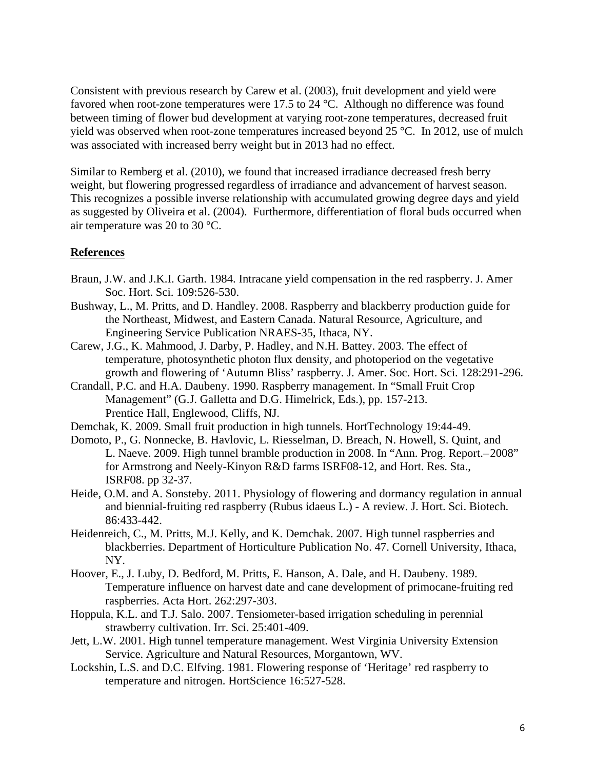Consistent with previous research by Carew et al. (2003), fruit development and yield were favored when root-zone temperatures were 17.5 to 24 °C. Although no difference was found between timing of flower bud development at varying root-zone temperatures, decreased fruit yield was observed when root-zone temperatures increased beyond 25 °C. In 2012, use of mulch was associated with increased berry weight but in 2013 had no effect.

Similar to Remberg et al. (2010), we found that increased irradiance decreased fresh berry weight, but flowering progressed regardless of irradiance and advancement of harvest season. This recognizes a possible inverse relationship with accumulated growing degree days and yield as suggested by Oliveira et al. (2004). Furthermore, differentiation of floral buds occurred when air temperature was 20 to 30 °C.

### **References**

- Braun, J.W. and J.K.I. Garth. 1984. Intracane yield compensation in the red raspberry. J. Amer Soc. Hort. Sci. 109:526-530.
- Bushway, L., M. Pritts, and D. Handley. 2008. Raspberry and blackberry production guide for the Northeast, Midwest, and Eastern Canada. Natural Resource, Agriculture, and Engineering Service Publication NRAES-35, Ithaca, NY.
- Carew, J.G., K. Mahmood, J. Darby, P. Hadley, and N.H. Battey. 2003. The effect of temperature, photosynthetic photon flux density, and photoperiod on the vegetative growth and flowering of 'Autumn Bliss' raspberry. J. Amer. Soc. Hort. Sci. 128:291-296.
- Crandall, P.C. and H.A. Daubeny. 1990. Raspberry management. In "Small Fruit Crop Management" (G.J. Galletta and D.G. Himelrick, Eds.), pp. 157-213. Prentice Hall, Englewood, Cliffs, NJ.
- Demchak, K. 2009. Small fruit production in high tunnels. HortTechnology 19:44-49.
- Domoto, P., G. Nonnecke, B. Havlovic, L. Riesselman, D. Breach, N. Howell, S. Quint, and L. Naeve. 2009. High tunnel bramble production in 2008. In "Ann. Prog. Report.–2008" for Armstrong and Neely-Kinyon R&D farms ISRF08-12, and Hort. Res. Sta., ISRF08. pp 32-37.
- Heide, O.M. and A. Sonsteby. 2011. Physiology of flowering and dormancy regulation in annual and biennial-fruiting red raspberry (Rubus idaeus L.) - A review. J. Hort. Sci. Biotech. 86:433-442.
- Heidenreich, C., M. Pritts, M.J. Kelly, and K. Demchak. 2007. High tunnel raspberries and blackberries. Department of Horticulture Publication No. 47. Cornell University, Ithaca, NY.
- Hoover, E., J. Luby, D. Bedford, M. Pritts, E. Hanson, A. Dale, and H. Daubeny. 1989. Temperature influence on harvest date and cane development of primocane-fruiting red raspberries. Acta Hort. 262:297-303.
- Hoppula, K.L. and T.J. Salo. 2007. Tensiometer-based irrigation scheduling in perennial strawberry cultivation. Irr. Sci. 25:401-409.
- Jett, L.W. 2001. High tunnel temperature management. West Virginia University Extension Service. Agriculture and Natural Resources, Morgantown, WV.
- Lockshin, L.S. and D.C. Elfving. 1981. Flowering response of 'Heritage' red raspberry to temperature and nitrogen. HortScience 16:527-528.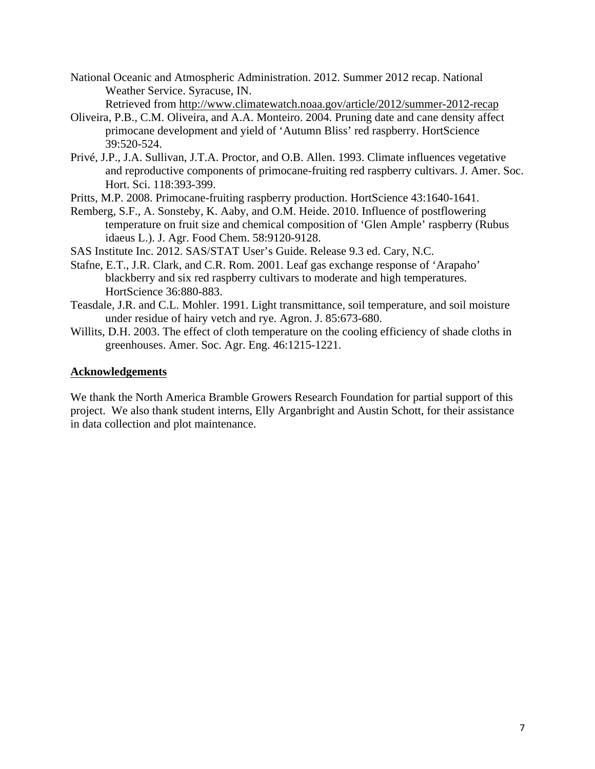National Oceanic and Atmospheric Administration. 2012. Summer 2012 recap. National Weather Service. Syracuse, IN.

- Retrieved from http://www.climatewatch.noaa.gov/article/2012/summer-2012-recap
- Oliveira, P.B., C.M. Oliveira, and A.A. Monteiro. 2004. Pruning date and cane density affect primocane development and yield of 'Autumn Bliss' red raspberry. HortScience 39:520-524.
- Privé, J.P., J.A. Sullivan, J.T.A. Proctor, and O.B. Allen. 1993. Climate influences vegetative and reproductive components of primocane-fruiting red raspberry cultivars. J. Amer. Soc. Hort. Sci. 118:393-399.
- Pritts, M.P. 2008. Primocane-fruiting raspberry production. HortScience 43:1640-1641.
- Remberg, S.F., A. Sonsteby, K. Aaby, and O.M. Heide. 2010. Influence of postflowering temperature on fruit size and chemical composition of 'Glen Ample' raspberry (Rubus idaeus L.). J. Agr. Food Chem. 58:9120-9128.

SAS Institute Inc. 2012. SAS/STAT User's Guide. Release 9.3 ed. Cary, N.C.

- Stafne, E.T., J.R. Clark, and C.R. Rom. 2001. Leaf gas exchange response of 'Arapaho' blackberry and six red raspberry cultivars to moderate and high temperatures. HortScience 36:880-883.
- Teasdale, J.R. and C.L. Mohler. 1991. Light transmittance, soil temperature, and soil moisture under residue of hairy vetch and rye. Agron. J. 85:673-680.
- Willits, D.H. 2003. The effect of cloth temperature on the cooling efficiency of shade cloths in greenhouses. Amer. Soc. Agr. Eng. 46:1215-1221.

#### **Acknowledgements**

We thank the North America Bramble Growers Research Foundation for partial support of this project. We also thank student interns, Elly Arganbright and Austin Schott, for their assistance in data collection and plot maintenance.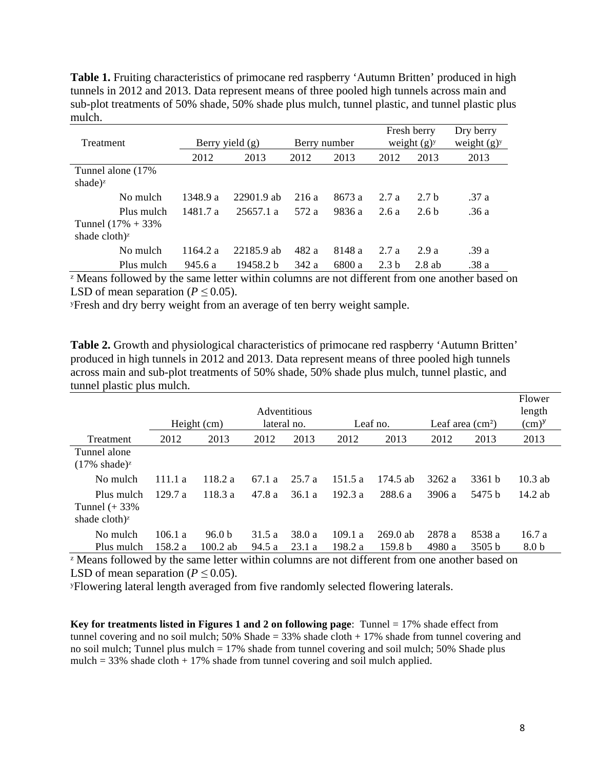Table 1. Fruiting characteristics of primocane red raspberry 'Autumn Britten' produced in high tunnels in 2012 and 2013. Data represent means of three pooled high tunnels across main and sub-plot treatments of 50% shade, 50% shade plus mulch, tunnel plastic, and tunnel plastic plus mulch.

|                                  |            |                   |            |              | Fresh berry |                  | Dry berry        |               |
|----------------------------------|------------|-------------------|------------|--------------|-------------|------------------|------------------|---------------|
| Treatment                        |            | Berry yield $(g)$ |            | Berry number |             | weight $(g)y$    |                  | weight $(g)y$ |
|                                  |            | 2012              | 2013       | 2012         | 2013        | 2012             | 2013             | 2013          |
| Tunnel alone (17%)               |            |                   |            |              |             |                  |                  |               |
| shade) <sup><math>z</math></sup> |            |                   |            |              |             |                  |                  |               |
|                                  | No mulch   | 1348.9 a          | 22901.9 ab | 216 a        | 8673 a      | 2.7a             | 2.7 <sub>h</sub> | .37 a         |
|                                  | Plus mulch | 1481.7 a          | 25657.1 a  | 572 a        | 9836 a      | 2.6 a            | 2.6 <sub>b</sub> | .36 a         |
| Tunnel $(17% + 33%$              |            |                   |            |              |             |                  |                  |               |
| shade cloth) <sup>z</sup>        |            |                   |            |              |             |                  |                  |               |
|                                  | No mulch   | 1164.2 a          | 22185.9 ab | 482 a        | 8148 a      | 2.7a             | 2.9a             | .39 a         |
|                                  | Plus mulch | 945.6 a           | 19458.2 b  | 342 a        | 6800 a      | 2.3 <sub>b</sub> | $2.8$ ab         | .38 a         |

<sup>z</sup> Means followed by the same letter within columns are not different from one another based on LSD of mean separation ( $P \le 0.05$ ).

ʸFresh and dry berry weight from an average of ten berry weight sample.

**Table 2.** Growth and physiological characteristics of primocane red raspberry 'Autumn Britten' produced in high tunnels in 2012 and 2013. Data represent means of three pooled high tunnels across main and sub-plot treatments of 50% shade, 50% shade plus mulch, tunnel plastic, and tunnel plastic plus mulch.

|                                                   | Height (cm) |                   | Adventitious<br>lateral no. |        | Leaf no. |                    | Leaf area $\text{cm}^2$ ) |        | Flower<br>length<br>(cm) <sup>y</sup> |
|---------------------------------------------------|-------------|-------------------|-----------------------------|--------|----------|--------------------|---------------------------|--------|---------------------------------------|
| Treatment                                         | 2012        | 2013              | 2012                        | 2013   | 2012     | 2013               | 2012                      | 2013   | 2013                                  |
| Tunnel alone<br>$(17\% \text{ shade})^2$          |             |                   |                             |        |          |                    |                           |        |                                       |
| No mulch                                          | 111.1a      | 118.2 a           | 67.1 a                      | 25.7 a | 151.5a   | 174.5 ab           | 3262a                     | 3361 b | $10.3$ ab                             |
| Plus mulch<br>Tunnel $(+33\%$<br>shade cloth) $z$ | 129.7a      | 118.3a            | 47.8 a                      | 36.1 a | 192.3 a  | 288.6 a            | 3906a                     | 5475 b | 14.2 ab                               |
| No mulch                                          | 106.1a      | 96.0 <sub>b</sub> | 31.5 a                      | 38.0 a | 109.1 a  | $269.0$ ab         | 2878 a                    | 8538 a | 16.7a                                 |
| Plus mulch                                        | 158.2 a     | $100.2$ ab        | 94.5 a                      | 23.1 a | 198.2 a  | 159.8 <sub>b</sub> | 4980 a                    | 3505 b | 8.0 <sub>b</sub>                      |

<sup>z</sup> Means followed by the same letter within columns are not different from one another based on LSD of mean separation ( $P \le 0.05$ ).

ʸFlowering lateral length averaged from five randomly selected flowering laterals.

**Key for treatments listed in Figures 1 and 2 on following page**: Tunnel = 17% shade effect from tunnel covering and no soil mulch;  $50\%$  Shade = 33% shade cloth  $+ 17\%$  shade from tunnel covering and no soil mulch; Tunnel plus mulch = 17% shade from tunnel covering and soil mulch; 50% Shade plus mulch =  $33\%$  shade cloth +  $17\%$  shade from tunnel covering and soil mulch applied.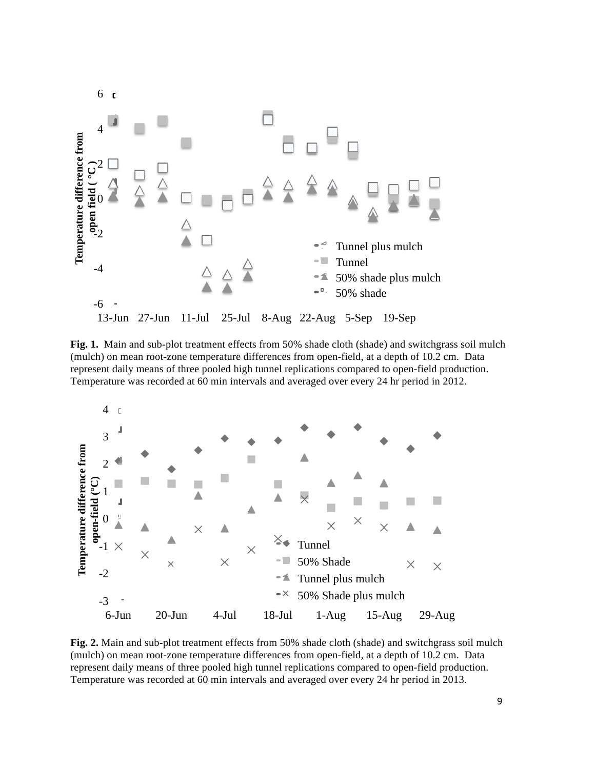

**Fig. 1.** Main and sub-plot treatment effects from 50% shade cloth (shade) and switchgrass soil mulch (mulch) on mean root-zone temperature differences from open-field, at a depth of 10.2 cm. Data represent daily means of three pooled high tunnel replications compared to open-field production. Temperature was recorded at 60 min intervals and averaged over every 24 hr period in 2012.



**Fig. 2.** Main and sub-plot treatment effects from 50% shade cloth (shade) and switchgrass soil mulch (mulch) on mean root-zone temperature differences from open-field, at a depth of 10.2 cm. Data represent daily means of three pooled high tunnel replications compared to open-field production. Temperature was recorded at 60 min intervals and averaged over every 24 hr period in 2013.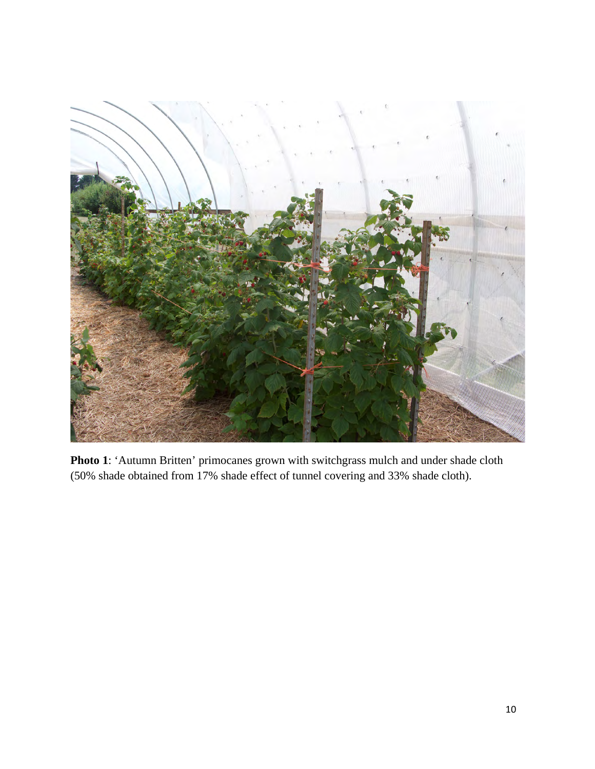

**Photo 1**: 'Autumn Britten' primocanes grown with switchgrass mulch and under shade cloth (50% shade obtained from 17% shade effect of tunnel covering and 33% shade cloth).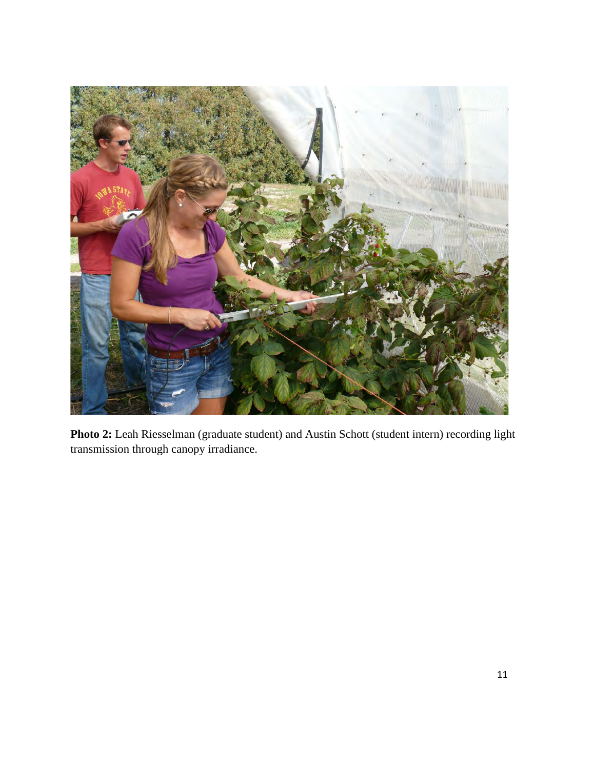

**Photo 2:** Leah Riesselman (graduate student) and Austin Schott (student intern) recording light transmission through canopy irradiance.